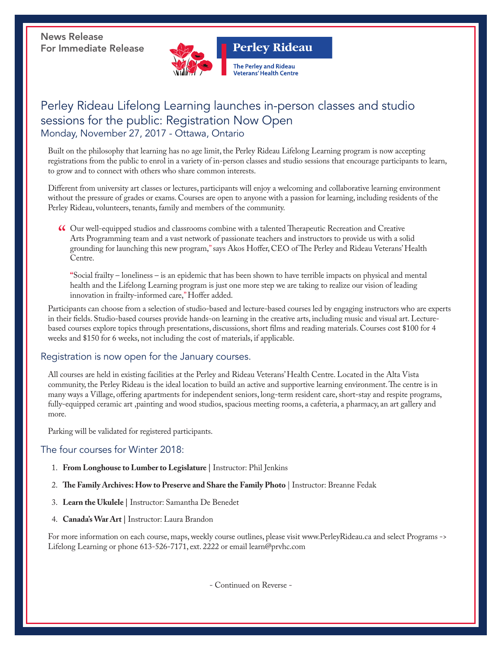News Release For Immediate Release



### Perley Rideau Lifelong Learning launches in-person classes and studio sessions for the public: Registration Now Open Monday, November 27, 2017 - Ottawa, Ontario

Built on the philosophy that learning has no age limit, the Perley Rideau Lifelong Learning program is now accepting registrations from the public to enrol in a variety of in-person classes and studio sessions that encourage participants to learn, to grow and to connect with others who share common interests.

Different from university art classes or lectures, participants will enjoy a welcoming and collaborative learning environment without the pressure of grades or exams. Courses are open to anyone with a passion for learning, including residents of the Perley Rideau, volunteers, tenants, family and members of the community.

" Our well-equipped studios and classrooms combine with a talented Therapeutic Recreation and Creative Arts Programming team and a vast network of passionate teachers and instructors to provide us with a solid grounding for launching this new program," says Akos Hoffer, CEO of The Perley and Rideau Veterans' Health Centre.

**"**Social frailty – loneliness – is an epidemic that has been shown to have terrible impacts on physical and mental health and the Lifelong Learning program is just one more step we are taking to realize our vision of leading innovation in frailty-informed care," Hoffer added.

Participants can choose from a selection of studio-based and lecture-based courses led by engaging instructors who are experts in their fields. Studio-based courses provide hands-on learning in the creative arts, including music and visual art. Lecturebased courses explore topics through presentations, discussions, short films and reading materials. Courses cost \$100 for 4 weeks and \$150 for 6 weeks, not including the cost of materials, if applicable.

#### Registration is now open for the January courses.

All courses are held in existing facilities at the Perley and Rideau Veterans' Health Centre. Located in the Alta Vista community, the Perley Rideau is the ideal location to build an active and supportive learning environment. The centre is in many ways a Village, offering apartments for independent seniors, long-term resident care, short-stay and respite programs, fully-equipped ceramic art ,painting and wood studios, spacious meeting rooms, a cafeteria, a pharmacy, an art gallery and more.

Parking will be validated for registered participants.

#### The four courses for Winter 2018:

- 1. **From Longhouse to Lumber to Legislature |** Instructor: Phil Jenkins
- 2. **The Family Archives: How to Preserve and Share the Family Photo** | Instructor: Breanne Fedak
- 3. **Learn the Ukulele |** Instructor: Samantha De Benedet
- 4. **Canada's War Art |** Instructor: Laura Brandon

For more information on each course, maps, weekly course outlines, please visit www.PerleyRideau.ca and select Programs -> Lifelong Learning or phone 613-526-7171, ext. 2222 or email learn@prvhc.com

- Continued on Reverse -